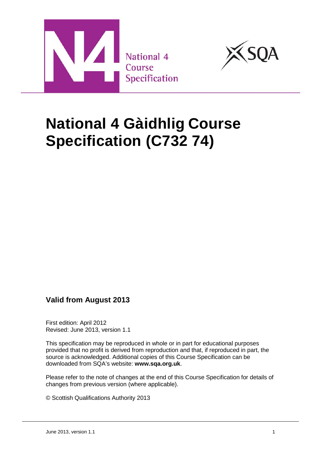



# **National 4 Gàidhlig Course Specification (C732 74)**

# **Valid from August 2013**

First edition: April 2012 Revised: June 2013, version 1.1

This specification may be reproduced in whole or in part for educational purposes provided that no profit is derived from reproduction and that, if reproduced in part, the source is acknowledged. Additional copies of this Course Specification can be downloaded from SQA's website: **[www.sqa.org.uk](http://www.sqa.org.uk/)**.

Please refer to the note of changes at the end of this Course Specification for details of changes from previous version (where applicable).

© Scottish Qualifications Authority 2013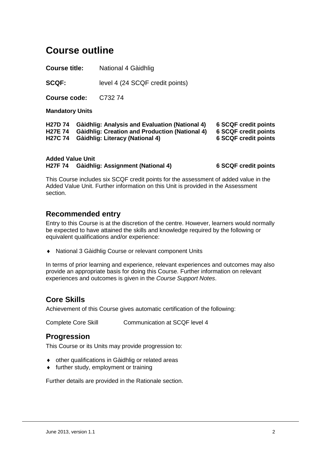# **Course outline**

**Course title:** National 4 Gàidhlig

**SCQF:** level 4 (24 SCQF credit points)

**Course code:** C732 74

**Mandatory Units**

**H27D 74 Gàidhlig: Analysis and Evaluation (National 4) 6 SCQF credit points H27E 74 Gàidhlig: Creation and Production (National 4) 6 SCQF credit points H27C** 74 **Gàidhlig: Literacy (National 4)** 

**Added Value Unit H27F 74 Gàidhlig: Assignment (National 4) 6 SCQF credit points**

This Course includes six SCQF credit points for the assessment of added value in the Added Value Unit. Further information on this Unit is provided in the Assessment section.

### **Recommended entry**

Entry to this Course is at the discretion of the centre. However, learners would normally be expected to have attained the skills and knowledge required by the following or equivalent qualifications and/or experience:

♦ National 3 Gàidhlig Course or relevant component Units

In terms of prior learning and experience, relevant experiences and outcomes may also provide an appropriate basis for doing this Course. Further information on relevant experiences and outcomes is given in the *Course Support Notes*.

### **Core Skills**

Achievement of this Course gives automatic certification of the following:

Complete Core Skill Communication at SCQF level 4

### **Progression**

This Course or its Units may provide progression to:

- ♦ other qualifications in Gàidhlig or related areas
- ♦ further study, employment or training

Further details are provided in the Rationale section.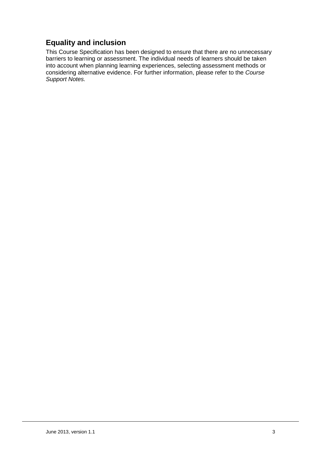# **Equality and inclusion**

This Course Specification has been designed to ensure that there are no unnecessary barriers to learning or assessment. The individual needs of learners should be taken into account when planning learning experiences, selecting assessment methods or considering alternative evidence. For further information, please refer to the *Course Support Notes.*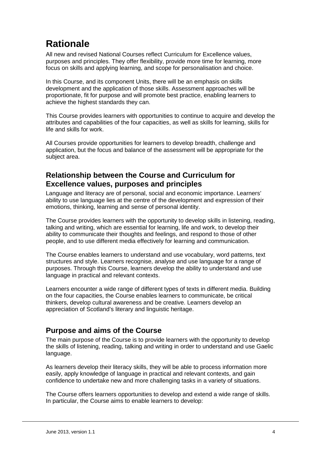# **Rationale**

All new and revised National Courses reflect Curriculum for Excellence values, purposes and principles. They offer flexibility, provide more time for learning, more focus on skills and applying learning, and scope for personalisation and choice.

In this Course, and its component Units, there will be an emphasis on skills development and the application of those skills. Assessment approaches will be proportionate, fit for purpose and will promote best practice, enabling learners to achieve the highest standards they can.

This Course provides learners with opportunities to continue to acquire and develop the attributes and capabilities of the four capacities, as well as skills for learning, skills for life and skills for work.

All Courses provide opportunities for learners to develop breadth, challenge and application, but the focus and balance of the assessment will be appropriate for the subject area.

# **Relationship between the Course and Curriculum for Excellence values, purposes and principles**

Language and literacy are of personal, social and economic importance. Learners' ability to use language lies at the centre of the development and expression of their emotions, thinking, learning and sense of personal identity.

The Course provides learners with the opportunity to develop skills in listening, reading, talking and writing, which are essential for learning, life and work, to develop their ability to communicate their thoughts and feelings, and respond to those of other people, and to use different media effectively for learning and communication.

The Course enables learners to understand and use vocabulary, word patterns, text structures and style. Learners recognise, analyse and use language for a range of purposes. Through this Course, learners develop the ability to understand and use language in practical and relevant contexts.

Learners encounter a wide range of different types of texts in different media. Building on the four capacities, the Course enables learners to communicate, be critical thinkers, develop cultural awareness and be creative. Learners develop an appreciation of Scotland's literary and linguistic heritage.

# **Purpose and aims of the Course**

The main purpose of the Course is to provide learners with the opportunity to develop the skills of listening, reading, talking and writing in order to understand and use Gaelic language.

As learners develop their literacy skills, they will be able to process information more easily, apply knowledge of language in practical and relevant contexts, and gain confidence to undertake new and more challenging tasks in a variety of situations.

The Course offers learners opportunities to develop and extend a wide range of skills. In particular, the Course aims to enable learners to develop: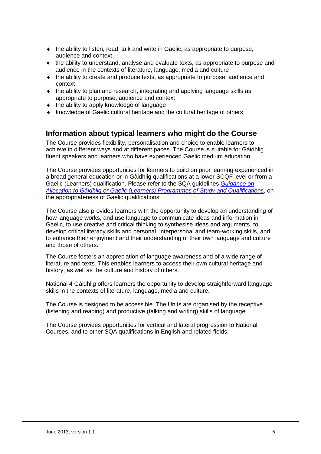- ♦ the ability to listen, read, talk and write in Gaelic, as appropriate to purpose, audience and context
- $\bullet$  the ability to understand, analyse and evaluate texts, as appropriate to purpose and audience in the contexts of literature, language, media and culture
- ♦ the ability to create and produce texts, as appropriate to purpose, audience and context
- ♦ the ability to plan and research, integrating and applying language skills as appropriate to purpose, audience and context
- ♦ the ability to apply knowledge of language
- ♦ knowledge of Gaelic cultural heritage and the cultural heritage of others

### **Information about typical learners who might do the Course**

The Course provides flexibility, personalisation and choice to enable learners to achieve in different ways and at different paces. The Course is suitable for Gàidhlig fluent speakers and learners who have experienced Gaelic medium education.

The Course provides opportunities for learners to build on prior learning experienced in a broad general education or in Gàidhlig qualifications at a lower SCQF level or from a Gaelic (Learners) qualification. Please refer to the SQA guidelines *[Guidance on](http://www.sqa.org.uk/files_ccc/NQ_Gaidhlig_Allocation_of_Candidates_July05.pdf)  [Allocation to Gàidhlig or Gaelic \(Learners\) Programmes of Study and Qualifications](http://www.sqa.org.uk/files_ccc/NQ_Gaidhlig_Allocation_of_Candidates_July05.pdf)*, on the appropriateness of Gaelic qualifications.

The Course also provides learners with the opportunity to develop an understanding of how language works, and use language to communicate ideas and information in Gaelic, to use creative and critical thinking to synthesise ideas and arguments, to develop critical literacy skills and personal, interpersonal and team-working skills, and to enhance their enjoyment and their understanding of their own language and culture and those of others.

The Course fosters an appreciation of language awareness and of a wide range of literature and texts. This enables learners to access their own cultural heritage and history, as well as the culture and history of others.

National 4 Gàidhlig offers learners the opportunity to develop straightforward language skills in the contexts of literature, language, media and culture.

The Course is designed to be accessible. The Units are organised by the receptive (listening and reading) and productive (talking and writing) skills of language.

The Course provides opportunities for vertical and lateral progression to National Courses, and to other SQA qualifications in English and related fields.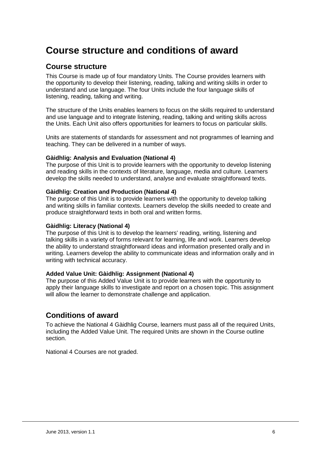# **Course structure and conditions of award**

#### **Course structure**

This Course is made up of four mandatory Units. The Course provides learners with the opportunity to develop their listening, reading, talking and writing skills in order to understand and use language. The four Units include the four language skills of listening, reading, talking and writing.

The structure of the Units enables learners to focus on the skills required to understand and use language and to integrate listening, reading, talking and writing skills across the Units. Each Unit also offers opportunities for learners to focus on particular skills.

Units are statements of standards for assessment and not programmes of learning and teaching. They can be delivered in a number of ways.

#### **Gàidhlig: Analysis and Evaluation (National 4)**

The purpose of this Unit is to provide learners with the opportunity to develop listening and reading skills in the contexts of literature, language, media and culture. Learners develop the skills needed to understand, analyse and evaluate straightforward texts.

#### **Gàidhlig: Creation and Production (National 4)**

The purpose of this Unit is to provide learners with the opportunity to develop talking and writing skills in familiar contexts. Learners develop the skills needed to create and produce straightforward texts in both oral and written forms.

#### **Gàidhlig: Literacy (National 4)**

The purpose of this Unit is to develop the learners' reading, writing, listening and talking skills in a variety of forms relevant for learning, life and work. Learners develop the ability to understand straightforward ideas and information presented orally and in writing. Learners develop the ability to communicate ideas and information orally and in writing with technical accuracy.

#### **Added Value Unit: Gàidhlig: Assignment (National 4)**

The purpose of this Added Value Unit is to provide learners with the opportunity to apply their language skills to investigate and report on a chosen topic. This assignment will allow the learner to demonstrate challenge and application.

#### **Conditions of award**

To achieve the National 4 Gàidhlig Course, learners must pass all of the required Units, including the Added Value Unit. The required Units are shown in the Course outline section.

National 4 Courses are not graded.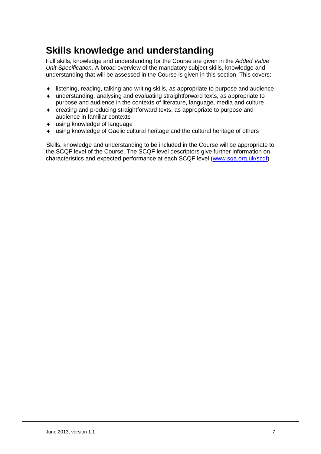# **Skills knowledge and understanding**

Full skills, knowledge and understanding for the Course are given in the *Added Value Unit Specification*. A broad overview of the mandatory subject skills, knowledge and understanding that will be assessed in the Course is given in this section. This covers:

- ♦ listening, reading, talking and writing skills, as appropriate to purpose and audience
- ♦ understanding, analysing and evaluating straightforward texts, as appropriate to purpose and audience in the contexts of literature, language, media and culture
- ♦ creating and producing straightforward texts, as appropriate to purpose and audience in familiar contexts
- ♦ using knowledge of language
- ♦ using knowledge of Gaelic cultural heritage and the cultural heritage of others

Skills, knowledge and understanding to be included in the Course will be appropriate to the SCQF level of the Course. The SCQF level descriptors give further information on characteristics and expected performance at each SCQF level [\(www.sqa.org.uk/scqf\)](http://www.sqa.org.uk/sqa/4595.html).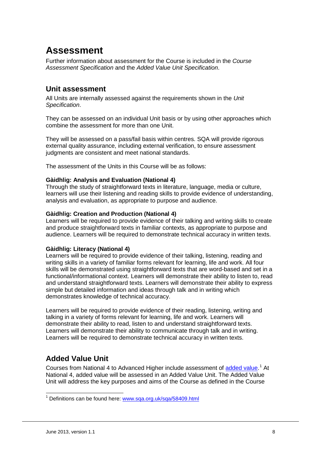# **Assessment**

Further information about assessment for the Course is included in the *Course Assessment Specification* and the *Added Value Unit Specification*.

### **Unit assessment**

All Units are internally assessed against the requirements shown in the *Unit Specification*.

They can be assessed on an individual Unit basis or by using other approaches which combine the assessment for more than one Unit.

They will be assessed on a pass/fail basis within centres. SQA will provide rigorous external quality assurance, including external verification, to ensure assessment judgments are consistent and meet national standards.

The assessment of the Units in this Course will be as follows:

#### **Gàidhlig: Analysis and Evaluation (National 4)**

Through the study of straightforward texts in literature, language, media or culture, learners will use their listening and reading skills to provide evidence of understanding, analysis and evaluation, as appropriate to purpose and audience.

#### **Gàidhlig: Creation and Production (National 4)**

Learners will be required to provide evidence of their talking and writing skills to create and produce straightforward texts in familiar contexts, as appropriate to purpose and audience. Learners will be required to demonstrate technical accuracy in written texts.

#### **Gàidhlig: Literacy (National 4)**

Learners will be required to provide evidence of their talking, listening, reading and writing skills in a variety of familiar forms relevant for learning, life and work. All four skills will be demonstrated using straightforward texts that are word-based and set in a functional/informational context. Learners will demonstrate their ability to listen to, read and understand straightforward texts. Learners will demonstrate their ability to express simple but detailed information and ideas through talk and in writing which demonstrates knowledge of technical accuracy.

Learners will be required to provide evidence of their reading, listening, writing and talking in a variety of forms relevant for learning, life and work. Learners will demonstrate their ability to read, listen to and understand straightforward texts. Learners will demonstrate their ability to communicate through talk and in writing. Learners will be required to demonstrate technical accuracy in written texts.

# **Added Value Unit**

Courses from National 4 to Advanced Higher include assessment of [added value.](http://www.sqa.org.uk/sqa/58409.html)<sup>[1](#page-7-0)</sup> At National 4, added value will be assessed in an Added Value Unit. The Added Value Unit will address the key purposes and aims of the Course as defined in the Course

<span id="page-7-0"></span><sup>&</sup>lt;sup>1</sup> Definitions can be found here: [www.sqa.org.uk/sqa/58409.html](http://www.sqa.org.uk/sqa/58409.html)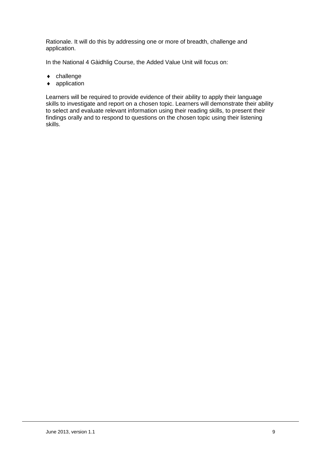Rationale. It will do this by addressing one or more of breadth, challenge and application.

In the National 4 Gàidhlig Course, the Added Value Unit will focus on:

- ♦ challenge
- ♦ application

Learners will be required to provide evidence of their ability to apply their language skills to investigate and report on a chosen topic. Learners will demonstrate their ability to select and evaluate relevant information using their reading skills, to present their findings orally and to respond to questions on the chosen topic using their listening skills.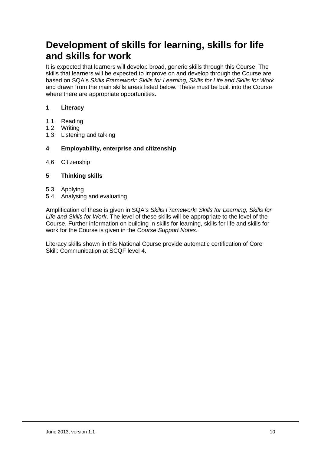# **Development of skills for learning, skills for life and skills for work**

It is expected that learners will develop broad, generic skills through this Course. The skills that learners will be expected to improve on and develop through the Course are based on SQA's *Skills Framework: Skills for Learning, Skills for Life and Skills for Work*  and drawn from the main skills areas listed below. These must be built into the Course where there are appropriate opportunities.

#### **1 Literacy**

- 1.1 Reading
- 1.2 Writing
- 1.3 Listening and talking

#### **4 Employability, enterprise and citizenship**

4.6 Citizenship

#### **5 Thinking skills**

- 5.3 Applying
- 5.4 Analysing and evaluating

Amplification of these is given in SQA's *Skills Framework: Skills for Learning, Skills for Life and Skills for Work*. The level of these skills will be appropriate to the level of the Course. Further information on building in skills for learning, skills for life and skills for work for the Course is given in the *Course Support Notes*.

Literacy skills shown in this National Course provide automatic certification of Core Skill: Communication at SCQF level 4.